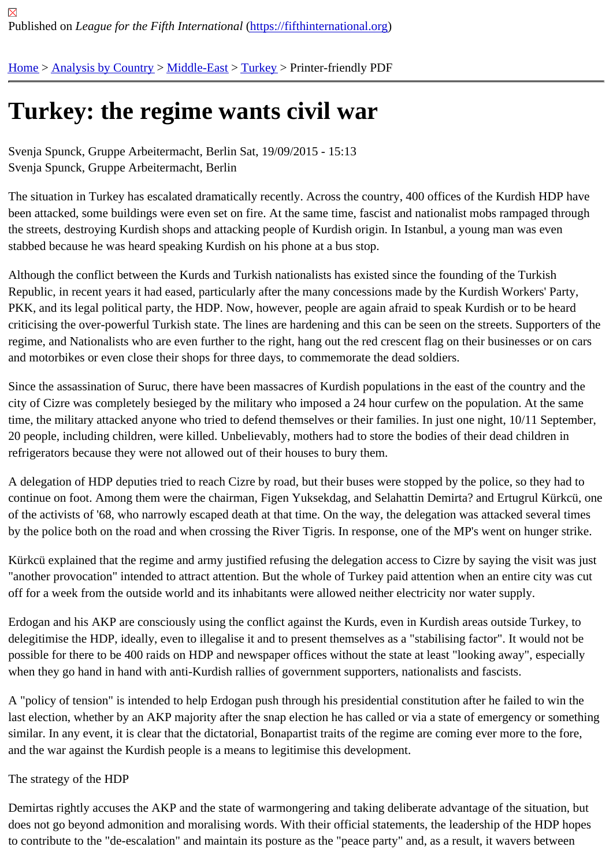## [Tur](https://fifthinternational.org/)[key: the re](https://fifthinternational.org/category/1)[gime w](https://fifthinternational.org/category/1/178)[ants](https://fifthinternational.org/category/1/178/174) civil war

Svenja Spunck, Gruppe Arbeitermacht, Berlin Sat, 19/09/2015 - 15:13 Svenja Spunck, Gruppe Arbeitermacht, Berlin

The situation in Turkey has escalated dramatically recently. Across the country, 400 offices of the Kurdish HDP ha been attacked, some buildings were even set on fire. At the same time, fascist and nationalist mobs rampaged thre the streets, destroying Kurdish shops and attacking people of Kurdish origin. In Istanbul, a young man was even stabbed because he was heard speaking Kurdish on his phone at a bus stop.

Although the conflict between the Kurds and Turkish nationalists has existed since the founding of the Turkish Republic, in recent years it had eased, particularly after the many concessions made by the Kurdish Workers' Part PKK, and its legal political party, the HDP. Now, however, people are again afraid to speak Kurdish or to be heard criticising the over-powerful Turkish state. The lines are hardening and this can be seen on the streets. Supporters regime, and Nationalists who are even further to the right, hang out the red crescent flag on their businesses or on and motorbikes or even close their shops for three days, to commemorate the dead soldiers.

Since the assassination of Suruc, there have been massacres of Kurdish populations in the east of the country and city of Cizre was completely besieged by the military who imposed a 24 hour curfew on the population. At the sam time, the military attacked anyone who tried to defend themselves or their families. In just one night, 10/11 Septem 20 people, including children, were killed. Unbelievably, mothers had to store the bodies of their dead children in refrigerators because they were not allowed out of their houses to bury them.

A delegation of HDP deputies tried to reach Cizre by road, but their buses were stopped by the police, so they had continue on foot. Among them were the chairman, Figen Yuksekdag, and Selahattin Demirta? and Ertugrul Kürkcü of the activists of '68, who narrowly escaped death at that time. On the way, the delegation was attacked several ti by the police both on the road and when crossing the River Tigris. In response, one of the MP's went on hunger st

Kürkcü explained that the regime and army justified refusing the delegation access to Cizre by saying the visit was "another provocation" intended to attract attention. But the whole of Turkey paid attention when an entire city was off for a week from the outside world and its inhabitants were allowed neither electricity nor water supply.

Erdogan and his AKP are consciously using the conflict against the Kurds, even in Kurdish areas outside Turkey, t delegitimise the HDP, ideally, even to illegalise it and to present themselves as a "stabilising factor". It would not b possible for there to be 400 raids on HDP and newspaper offices without the state at least "looking away", especia when they go hand in hand with anti-Kurdish rallies of government supporters, nationalists and fascists.

A "policy of tension" is intended to help Erdogan push through his presidential constitution after he failed to win the last election, whether by an AKP majority after the snap election he has called or via a state of emergency or some similar. In any event, it is clear that the dictatorial, Bonapartist traits of the regime are coming ever more to the fore, and the war against the Kurdish people is a means to legitimise this development.

## The strategy of the HDP

Demirtas rightly accuses the AKP and the state of warmongering and taking deliberate advantage of the situation, does not go beyond admonition and moralising words. With their official statements, the leadership of the HDP ho to contribute to the "de-escalation" and maintain its posture as the "peace party" and, as a result, it wavers betwee